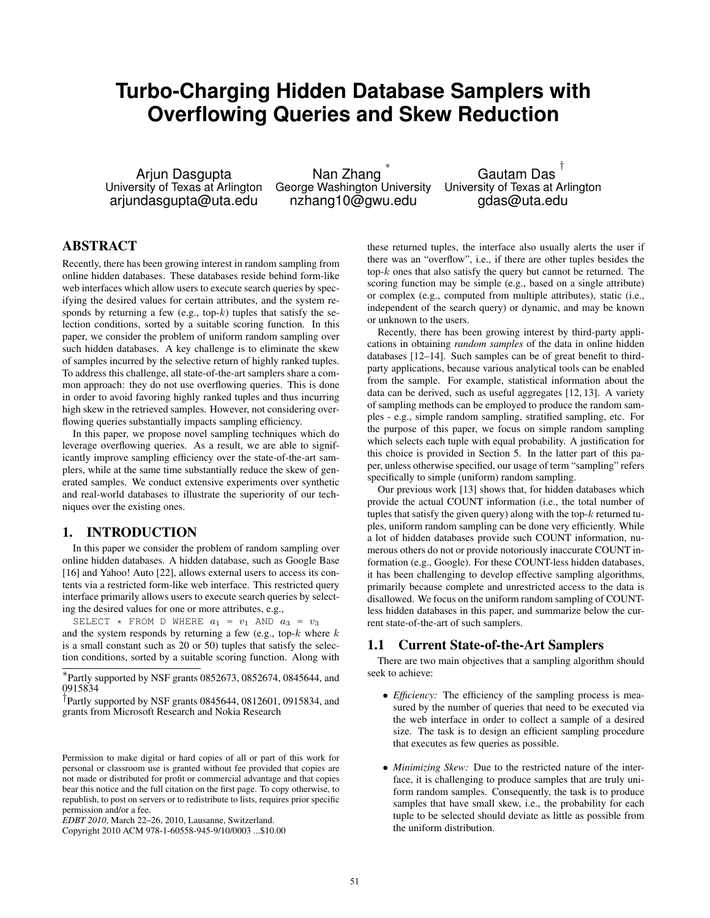# **Turbo-Charging Hidden Database Samplers with Overflowing Queries and Skew Reduction**

Arjun Dasgupta University of Texas at Arlington arjundasgupta@uta.edu

Nan Zhang ∗ George Washington University nzhang10@gwu.edu

Gautam Das † University of Texas at Arlington gdas@uta.edu

# ABSTRACT

Recently, there has been growing interest in random sampling from online hidden databases. These databases reside behind form-like web interfaces which allow users to execute search queries by specifying the desired values for certain attributes, and the system responds by returning a few (e.g., top- $k$ ) tuples that satisfy the selection conditions, sorted by a suitable scoring function. In this paper, we consider the problem of uniform random sampling over such hidden databases. A key challenge is to eliminate the skew of samples incurred by the selective return of highly ranked tuples. To address this challenge, all state-of-the-art samplers share a common approach: they do not use overflowing queries. This is done in order to avoid favoring highly ranked tuples and thus incurring high skew in the retrieved samples. However, not considering overflowing queries substantially impacts sampling efficiency.

In this paper, we propose novel sampling techniques which do leverage overflowing queries. As a result, we are able to significantly improve sampling efficiency over the state-of-the-art samplers, while at the same time substantially reduce the skew of generated samples. We conduct extensive experiments over synthetic and real-world databases to illustrate the superiority of our techniques over the existing ones.

# 1. INTRODUCTION

In this paper we consider the problem of random sampling over online hidden databases. A hidden database, such as Google Base [16] and Yahoo! Auto [22], allows external users to access its contents via a restricted form-like web interface. This restricted query interface primarily allows users to execute search queries by selecting the desired values for one or more attributes, e.g.,

SELECT \* FROM D WHERE  $a_1 = v_1$  AND  $a_3 = v_3$ and the system responds by returning a few (e.g., top- $k$  where  $k$ is a small constant such as 20 or 50) tuples that satisfy the selection conditions, sorted by a suitable scoring function. Along with

∗ Partly supported by NSF grants 0852673, 0852674, 0845644, and 0915834

† Partly supported by NSF grants 0845644, 0812601, 0915834, and grants from Microsoft Research and Nokia Research

Permission to make digital or hard copies of all or part of this work for personal or classroom use is granted without fee provided that copies are not made or distributed for profit or commercial advantage and that copies bear this notice and the full citation on the first page. To copy otherwise, to republish, to post on servers or to redistribute to lists, requires prior specific permission and/or a fee.

Copyright 2010 ACM 978-1-60558-945-9/10/0003 ...\$10.00

these returned tuples, the interface also usually alerts the user if there was an "overflow", i.e., if there are other tuples besides the top- $k$  ones that also satisfy the query but cannot be returned. The scoring function may be simple (e.g., based on a single attribute) or complex (e.g., computed from multiple attributes), static (i.e., independent of the search query) or dynamic, and may be known or unknown to the users.

Recently, there has been growing interest by third-party applications in obtaining *random samples* of the data in online hidden databases [12–14]. Such samples can be of great benefit to thirdparty applications, because various analytical tools can be enabled from the sample. For example, statistical information about the data can be derived, such as useful aggregates [12, 13]. A variety of sampling methods can be employed to produce the random samples - e.g., simple random sampling, stratified sampling, etc. For the purpose of this paper, we focus on simple random sampling which selects each tuple with equal probability. A justification for this choice is provided in Section 5. In the latter part of this paper, unless otherwise specified, our usage of term "sampling" refers specifically to simple (uniform) random sampling.

Our previous work [13] shows that, for hidden databases which provide the actual COUNT information (i.e., the total number of tuples that satisfy the given query) along with the top- $k$  returned tuples, uniform random sampling can be done very efficiently. While a lot of hidden databases provide such COUNT information, numerous others do not or provide notoriously inaccurate COUNT information (e.g., Google). For these COUNT-less hidden databases, it has been challenging to develop effective sampling algorithms, primarily because complete and unrestricted access to the data is disallowed. We focus on the uniform random sampling of COUNTless hidden databases in this paper, and summarize below the current state-of-the-art of such samplers.

# 1.1 Current State-of-the-Art Samplers

There are two main objectives that a sampling algorithm should seek to achieve:

- *Efficiency:* The efficiency of the sampling process is measured by the number of queries that need to be executed via the web interface in order to collect a sample of a desired size. The task is to design an efficient sampling procedure that executes as few queries as possible.
- *Minimizing Skew:* Due to the restricted nature of the interface, it is challenging to produce samples that are truly uniform random samples. Consequently, the task is to produce samples that have small skew, i.e., the probability for each tuple to be selected should deviate as little as possible from the uniform distribution.

*EDBT 2010*, March 22–26, 2010, Lausanne, Switzerland.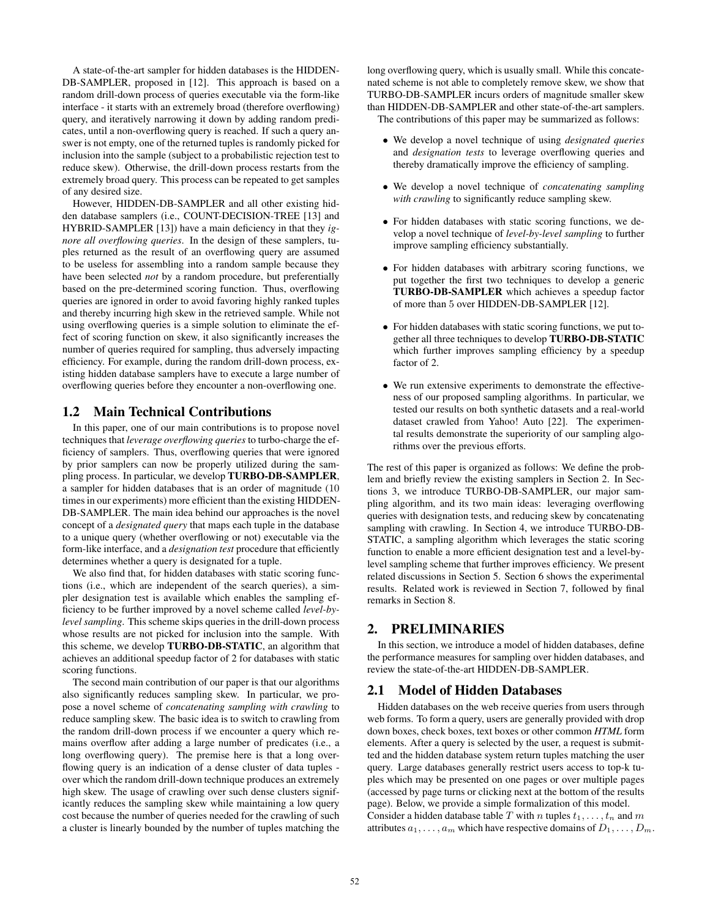A state-of-the-art sampler for hidden databases is the HIDDEN-DB-SAMPLER, proposed in [12]. This approach is based on a random drill-down process of queries executable via the form-like interface - it starts with an extremely broad (therefore overflowing) query, and iteratively narrowing it down by adding random predicates, until a non-overflowing query is reached. If such a query answer is not empty, one of the returned tuples is randomly picked for inclusion into the sample (subject to a probabilistic rejection test to reduce skew). Otherwise, the drill-down process restarts from the extremely broad query. This process can be repeated to get samples of any desired size.

However, HIDDEN-DB-SAMPLER and all other existing hidden database samplers (i.e., COUNT-DECISION-TREE [13] and HYBRID-SAMPLER [13]) have a main deficiency in that they *ignore all overflowing queries*. In the design of these samplers, tuples returned as the result of an overflowing query are assumed to be useless for assembling into a random sample because they have been selected *not* by a random procedure, but preferentially based on the pre-determined scoring function. Thus, overflowing queries are ignored in order to avoid favoring highly ranked tuples and thereby incurring high skew in the retrieved sample. While not using overflowing queries is a simple solution to eliminate the effect of scoring function on skew, it also significantly increases the number of queries required for sampling, thus adversely impacting efficiency. For example, during the random drill-down process, existing hidden database samplers have to execute a large number of overflowing queries before they encounter a non-overflowing one.

# 1.2 Main Technical Contributions

In this paper, one of our main contributions is to propose novel techniques that *leverage overflowing queries* to turbo-charge the efficiency of samplers. Thus, overflowing queries that were ignored by prior samplers can now be properly utilized during the sampling process. In particular, we develop TURBO-DB-SAMPLER, a sampler for hidden databases that is an order of magnitude (10 times in our experiments) more efficient than the existing HIDDEN-DB-SAMPLER. The main idea behind our approaches is the novel concept of a *designated query* that maps each tuple in the database to a unique query (whether overflowing or not) executable via the form-like interface, and a *designation test* procedure that efficiently determines whether a query is designated for a tuple.

We also find that, for hidden databases with static scoring functions (i.e., which are independent of the search queries), a simpler designation test is available which enables the sampling efficiency to be further improved by a novel scheme called *level-bylevel sampling*. This scheme skips queries in the drill-down process whose results are not picked for inclusion into the sample. With this scheme, we develop TURBO-DB-STATIC, an algorithm that achieves an additional speedup factor of 2 for databases with static scoring functions.

The second main contribution of our paper is that our algorithms also significantly reduces sampling skew. In particular, we propose a novel scheme of *concatenating sampling with crawling* to reduce sampling skew. The basic idea is to switch to crawling from the random drill-down process if we encounter a query which remains overflow after adding a large number of predicates (i.e., a long overflowing query). The premise here is that a long overflowing query is an indication of a dense cluster of data tuples over which the random drill-down technique produces an extremely high skew. The usage of crawling over such dense clusters significantly reduces the sampling skew while maintaining a low query cost because the number of queries needed for the crawling of such a cluster is linearly bounded by the number of tuples matching the

long overflowing query, which is usually small. While this concatenated scheme is not able to completely remove skew, we show that TURBO-DB-SAMPLER incurs orders of magnitude smaller skew than HIDDEN-DB-SAMPLER and other state-of-the-art samplers. The contributions of this paper may be summarized as follows:

- We develop a novel technique of using *designated queries* and *designation tests* to leverage overflowing queries and thereby dramatically improve the efficiency of sampling.
- We develop a novel technique of *concatenating sampling with crawling* to significantly reduce sampling skew.
- For hidden databases with static scoring functions, we develop a novel technique of *level-by-level sampling* to further improve sampling efficiency substantially.
- For hidden databases with arbitrary scoring functions, we put together the first two techniques to develop a generic TURBO-DB-SAMPLER which achieves a speedup factor of more than 5 over HIDDEN-DB-SAMPLER [12].
- For hidden databases with static scoring functions, we put together all three techniques to develop TURBO-DB-STATIC which further improves sampling efficiency by a speedup factor of 2.
- We run extensive experiments to demonstrate the effectiveness of our proposed sampling algorithms. In particular, we tested our results on both synthetic datasets and a real-world dataset crawled from Yahoo! Auto [22]. The experimental results demonstrate the superiority of our sampling algorithms over the previous efforts.

The rest of this paper is organized as follows: We define the problem and briefly review the existing samplers in Section 2. In Sections 3, we introduce TURBO-DB-SAMPLER, our major sampling algorithm, and its two main ideas: leveraging overflowing queries with designation tests, and reducing skew by concatenating sampling with crawling. In Section 4, we introduce TURBO-DB-STATIC, a sampling algorithm which leverages the static scoring function to enable a more efficient designation test and a level-bylevel sampling scheme that further improves efficiency. We present related discussions in Section 5. Section 6 shows the experimental results. Related work is reviewed in Section 7, followed by final remarks in Section 8.

# 2. PRELIMINARIES

In this section, we introduce a model of hidden databases, define the performance measures for sampling over hidden databases, and review the state-of-the-art HIDDEN-DB-SAMPLER.

## 2.1 Model of Hidden Databases

Hidden databases on the web receive queries from users through web forms. To form a query, users are generally provided with drop down boxes, check boxes, text boxes or other common *HTML* form elements. After a query is selected by the user, a request is submitted and the hidden database system return tuples matching the user query. Large databases generally restrict users access to top-k tuples which may be presented on one pages or over multiple pages (accessed by page turns or clicking next at the bottom of the results page). Below, we provide a simple formalization of this model. Consider a hidden database table T with n tuples  $t_1, \ldots, t_n$  and m attributes  $a_1, \ldots, a_m$  which have respective domains of  $D_1, \ldots, D_m$ .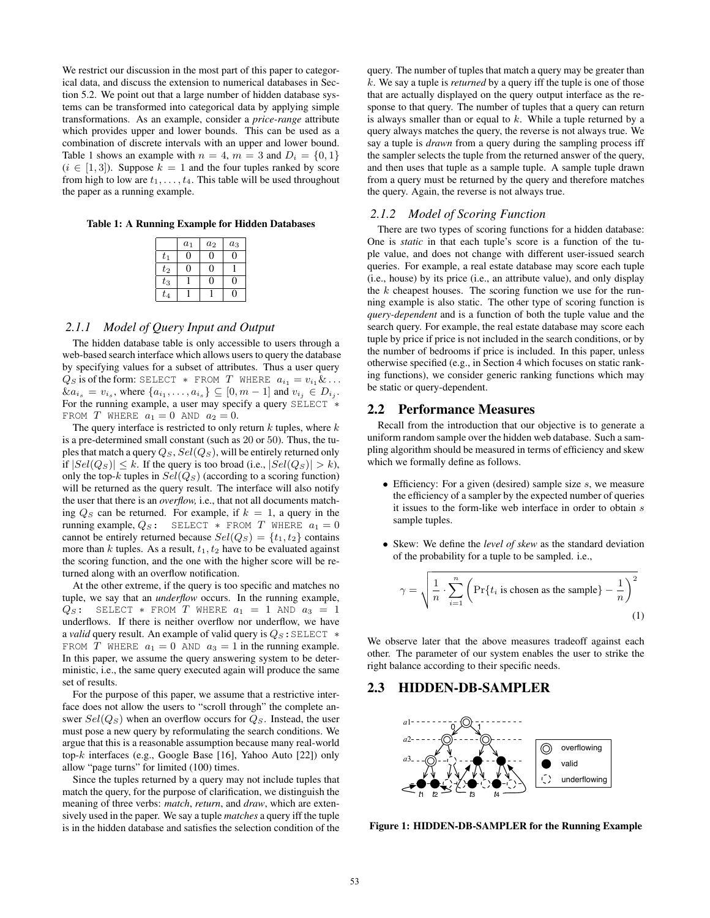We restrict our discussion in the most part of this paper to categorical data, and discuss the extension to numerical databases in Section 5.2. We point out that a large number of hidden database systems can be transformed into categorical data by applying simple transformations. As an example, consider a *price-range* attribute which provides upper and lower bounds. This can be used as a combination of discrete intervals with an upper and lower bound. Table 1 shows an example with  $n = 4$ ,  $m = 3$  and  $D_i = \{0, 1\}$  $(i \in [1, 3])$ . Suppose  $k = 1$  and the four tuples ranked by score from high to low are  $t_1, \ldots, t_4$ . This table will be used throughout the paper as a running example.

Table 1: A Running Example for Hidden Databases

|         | $a_1$ | $a_2$ | $a_3$ |
|---------|-------|-------|-------|
| $t_1$   |       | O)    |       |
| $t_2$   |       | H     |       |
| $t_3$   |       | H     | 0     |
| $t_{4}$ |       |       |       |

#### *2.1.1 Model of Query Input and Output*

The hidden database table is only accessible to users through a web-based search interface which allows users to query the database by specifying values for a subset of attributes. Thus a user query  $Q_S$  is of the form: SELECT \* FROM T WHERE  $a_{i_1} = v_{i_1} \& \ldots$  $\&a_{i_s} = v_{i_s}$ , where  $\{a_{i_1}, \ldots, a_{i_s}\} \subseteq [0, m-1]$  and  $v_{i_j} \in D_{i_j}$ . For the running example, a user may specify a query SELECT \* FROM T WHERE  $a_1 = 0$  AND  $a_2 = 0$ .

The query interface is restricted to only return  $k$  tuples, where  $k$ is a pre-determined small constant (such as 20 or 50). Thus, the tuples that match a query  $Q_S$ ,  $Sel(Q_S)$ , will be entirely returned only if  $|Sel(Q_S)| \leq k$ . If the query is too broad (i.e.,  $|Sel(Q_S)| > k$ ), only the top-k tuples in  $Sel(Q_S)$  (according to a scoring function) will be returned as the query result. The interface will also notify the user that there is an *overflow,* i.e., that not all documents matching  $Q_S$  can be returned. For example, if  $k = 1$ , a query in the running example,  $Q_S$ : SELECT \* FROM T WHERE  $a_1 = 0$ cannot be entirely returned because  $Sel(Q_S) = \{t_1, t_2\}$  contains more than k tuples. As a result,  $t_1, t_2$  have to be evaluated against the scoring function, and the one with the higher score will be returned along with an overflow notification.

At the other extreme, if the query is too specific and matches no tuple, we say that an *underflow* occurs. In the running example,  $Q_S$ : SELECT \* FROM T WHERE  $a_1 = 1$  AND  $a_3 = 1$ underflows. If there is neither overflow nor underflow, we have a *valid* query result. An example of valid query is Q<sub>S</sub>: SELECT \* FROM T WHERE  $a_1 = 0$  AND  $a_3 = 1$  in the running example. In this paper, we assume the query answering system to be deterministic, i.e., the same query executed again will produce the same set of results.

For the purpose of this paper, we assume that a restrictive interface does not allow the users to "scroll through" the complete answer  $Sel(Q_S)$  when an overflow occurs for  $Q_S$ . Instead, the user must pose a new query by reformulating the search conditions. We argue that this is a reasonable assumption because many real-world top-k interfaces (e.g., Google Base [16], Yahoo Auto [22]) only allow "page turns" for limited (100) times.

Since the tuples returned by a query may not include tuples that match the query, for the purpose of clarification, we distinguish the meaning of three verbs: *match*, *return*, and *draw*, which are extensively used in the paper. We say a tuple *matches* a query iff the tuple is in the hidden database and satisfies the selection condition of the

query. The number of tuples that match a query may be greater than k. We say a tuple is *returned* by a query iff the tuple is one of those that are actually displayed on the query output interface as the response to that query. The number of tuples that a query can return is always smaller than or equal to  $k$ . While a tuple returned by a query always matches the query, the reverse is not always true. We say a tuple is *drawn* from a query during the sampling process iff the sampler selects the tuple from the returned answer of the query, and then uses that tuple as a sample tuple. A sample tuple drawn from a query must be returned by the query and therefore matches the query. Again, the reverse is not always true.

## *2.1.2 Model of Scoring Function*

There are two types of scoring functions for a hidden database: One is *static* in that each tuple's score is a function of the tuple value, and does not change with different user-issued search queries. For example, a real estate database may score each tuple (i.e., house) by its price (i.e., an attribute value), and only display the  $k$  cheapest houses. The scoring function we use for the running example is also static. The other type of scoring function is *query-dependent* and is a function of both the tuple value and the search query. For example, the real estate database may score each tuple by price if price is not included in the search conditions, or by the number of bedrooms if price is included. In this paper, unless otherwise specified (e.g., in Section 4 which focuses on static ranking functions), we consider generic ranking functions which may be static or query-dependent.

#### 2.2 Performance Measures

Recall from the introduction that our objective is to generate a uniform random sample over the hidden web database. Such a sampling algorithm should be measured in terms of efficiency and skew which we formally define as follows.

- Efficiency: For a given (desired) sample size  $s$ , we measure the efficiency of a sampler by the expected number of queries it issues to the form-like web interface in order to obtain  $s$ sample tuples.
- Skew: We define the *level of skew* as the standard deviation of the probability for a tuple to be sampled. i.e.,

$$
\gamma = \sqrt{\frac{1}{n} \cdot \sum_{i=1}^{n} \left( \Pr\{t_i \text{ is chosen as the sample}\} - \frac{1}{n} \right)^2}
$$
\n(1)

We observe later that the above measures tradeoff against each other. The parameter of our system enables the user to strike the right balance according to their specific needs.

# 2.3 HIDDEN-DB-SAMPLER



Figure 1: HIDDEN-DB-SAMPLER for the Running Example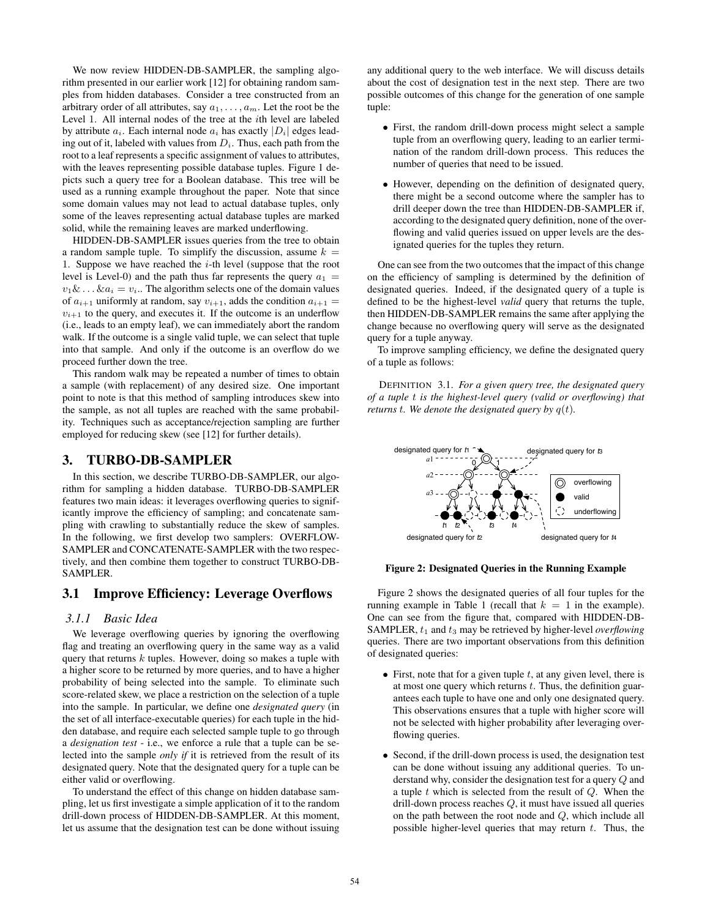We now review HIDDEN-DB-SAMPLER, the sampling algorithm presented in our earlier work [12] for obtaining random samples from hidden databases. Consider a tree constructed from an arbitrary order of all attributes, say  $a_1, \ldots, a_m$ . Let the root be the Level 1. All internal nodes of the tree at the ith level are labeled by attribute  $a_i$ . Each internal node  $a_i$  has exactly  $|D_i|$  edges leading out of it, labeled with values from  $D<sub>i</sub>$ . Thus, each path from the root to a leaf represents a specific assignment of values to attributes, with the leaves representing possible database tuples. Figure 1 depicts such a query tree for a Boolean database. This tree will be used as a running example throughout the paper. Note that since some domain values may not lead to actual database tuples, only some of the leaves representing actual database tuples are marked solid, while the remaining leaves are marked underflowing.

HIDDEN-DB-SAMPLER issues queries from the tree to obtain a random sample tuple. To simplify the discussion, assume  $k =$ 1. Suppose we have reached the  $i$ -th level (suppose that the root level is Level-0) and the path thus far represents the query  $a_1 =$  $v_1 \& \ldots \& a_i = v_i$ . The algorithm selects one of the domain values of  $a_{i+1}$  uniformly at random, say  $v_{i+1}$ , adds the condition  $a_{i+1} =$  $v_{i+1}$  to the query, and executes it. If the outcome is an underflow (i.e., leads to an empty leaf), we can immediately abort the random walk. If the outcome is a single valid tuple, we can select that tuple into that sample. And only if the outcome is an overflow do we proceed further down the tree.

This random walk may be repeated a number of times to obtain a sample (with replacement) of any desired size. One important point to note is that this method of sampling introduces skew into the sample, as not all tuples are reached with the same probability. Techniques such as acceptance/rejection sampling are further employed for reducing skew (see [12] for further details).

# 3. TURBO-DB-SAMPLER

In this section, we describe TURBO-DB-SAMPLER, our algorithm for sampling a hidden database. TURBO-DB-SAMPLER features two main ideas: it leverages overflowing queries to significantly improve the efficiency of sampling; and concatenate sampling with crawling to substantially reduce the skew of samples. In the following, we first develop two samplers: OVERFLOW-SAMPLER and CONCATENATE-SAMPLER with the two respectively, and then combine them together to construct TURBO-DB-SAMPLER.

# 3.1 Improve Efficiency: Leverage Overflows

## *3.1.1 Basic Idea*

We leverage overflowing queries by ignoring the overflowing flag and treating an overflowing query in the same way as a valid query that returns  $k$  tuples. However, doing so makes a tuple with a higher score to be returned by more queries, and to have a higher probability of being selected into the sample. To eliminate such score-related skew, we place a restriction on the selection of a tuple into the sample. In particular, we define one *designated query* (in the set of all interface-executable queries) for each tuple in the hidden database, and require each selected sample tuple to go through a *designation test* - i.e., we enforce a rule that a tuple can be selected into the sample *only if* it is retrieved from the result of its designated query. Note that the designated query for a tuple can be either valid or overflowing.

To understand the effect of this change on hidden database sampling, let us first investigate a simple application of it to the random drill-down process of HIDDEN-DB-SAMPLER. At this moment, let us assume that the designation test can be done without issuing any additional query to the web interface. We will discuss details about the cost of designation test in the next step. There are two possible outcomes of this change for the generation of one sample tuple:

- First, the random drill-down process might select a sample tuple from an overflowing query, leading to an earlier termination of the random drill-down process. This reduces the number of queries that need to be issued.
- However, depending on the definition of designated query, there might be a second outcome where the sampler has to drill deeper down the tree than HIDDEN-DB-SAMPLER if, according to the designated query definition, none of the overflowing and valid queries issued on upper levels are the designated queries for the tuples they return.

One can see from the two outcomes that the impact of this change on the efficiency of sampling is determined by the definition of designated queries. Indeed, if the designated query of a tuple is defined to be the highest-level *valid* query that returns the tuple, then HIDDEN-DB-SAMPLER remains the same after applying the change because no overflowing query will serve as the designated query for a tuple anyway.

To improve sampling efficiency, we define the designated query of a tuple as follows:

DEFINITION 3.1. *For a given query tree, the designated query of a tuple* t *is the highest-level query (valid or overflowing) that returns t. We denote the designated query by*  $q(t)$ *.* 



#### Figure 2: Designated Queries in the Running Example

Figure 2 shows the designated queries of all four tuples for the running example in Table 1 (recall that  $k = 1$  in the example). One can see from the figure that, compared with HIDDEN-DB-SAMPLER,  $t_1$  and  $t_3$  may be retrieved by higher-level *overflowing* queries. There are two important observations from this definition of designated queries:

- First, note that for a given tuple  $t$ , at any given level, there is at most one query which returns  $t$ . Thus, the definition guarantees each tuple to have one and only one designated query. This observations ensures that a tuple with higher score will not be selected with higher probability after leveraging overflowing queries.
- Second, if the drill-down process is used, the designation test can be done without issuing any additional queries. To understand why, consider the designation test for a query Q and a tuple  $t$  which is selected from the result of  $Q$ . When the drill-down process reaches Q, it must have issued all queries on the path between the root node and Q, which include all possible higher-level queries that may return  $t$ . Thus, the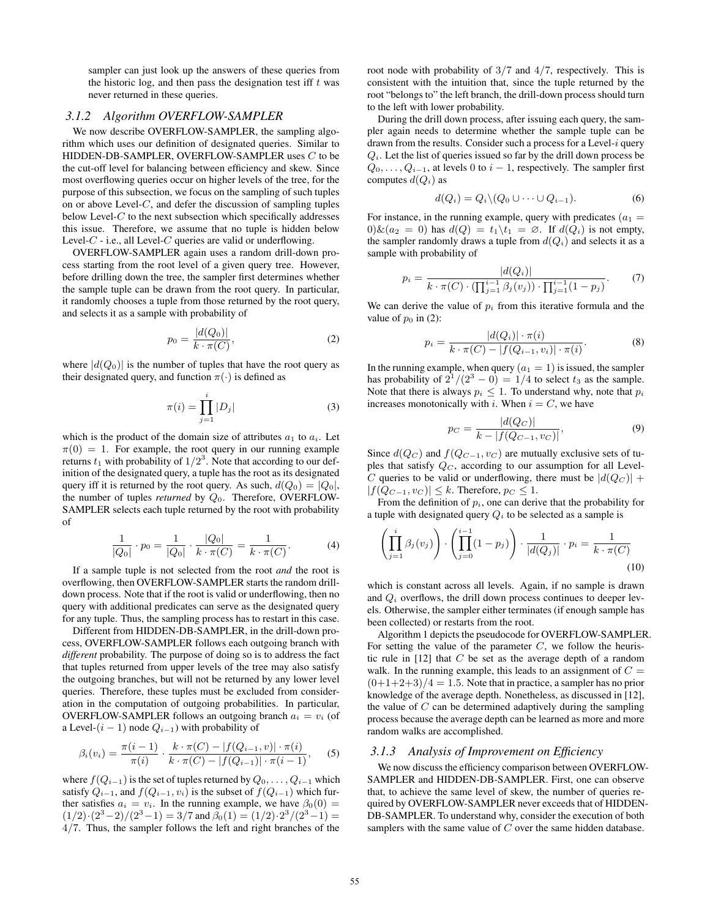sampler can just look up the answers of these queries from the historic log, and then pass the designation test iff  $t$  was never returned in these queries.

#### *3.1.2 Algorithm OVERFLOW-SAMPLER*

We now describe OVERFLOW-SAMPLER, the sampling algorithm which uses our definition of designated queries. Similar to HIDDEN-DB-SAMPLER, OVERFLOW-SAMPLER uses C to be the cut-off level for balancing between efficiency and skew. Since most overflowing queries occur on higher levels of the tree, for the purpose of this subsection, we focus on the sampling of such tuples on or above Level-C, and defer the discussion of sampling tuples below Level- $C$  to the next subsection which specifically addresses this issue. Therefore, we assume that no tuple is hidden below Level- $C$  - i.e., all Level- $C$  queries are valid or underflowing.

OVERFLOW-SAMPLER again uses a random drill-down process starting from the root level of a given query tree. However, before drilling down the tree, the sampler first determines whether the sample tuple can be drawn from the root query. In particular, it randomly chooses a tuple from those returned by the root query, and selects it as a sample with probability of

$$
p_0 = \frac{|d(Q_0)|}{k \cdot \pi(C)},\tag{2}
$$

where  $|d(Q_0)|$  is the number of tuples that have the root query as their designated query, and function  $\pi(\cdot)$  is defined as

$$
\pi(i) = \prod_{j=1}^{i} |D_j| \tag{3}
$$

which is the product of the domain size of attributes  $a_1$  to  $a_i$ . Let  $\pi(0) = 1$ . For example, the root query in our running example returns  $t_1$  with probability of  $1/2^3$ . Note that according to our definition of the designated query, a tuple has the root as its designated query iff it is returned by the root query. As such,  $d(Q_0) = |Q_0|$ , the number of tuples *returned* by  $Q_0$ . Therefore, OVERFLOW-SAMPLER selects each tuple returned by the root with probability of

$$
\frac{1}{|Q_0|} \cdot p_0 = \frac{1}{|Q_0|} \cdot \frac{|Q_0|}{k \cdot \pi(C)} = \frac{1}{k \cdot \pi(C)}.
$$
 (4)

If a sample tuple is not selected from the root *and* the root is overflowing, then OVERFLOW-SAMPLER starts the random drilldown process. Note that if the root is valid or underflowing, then no query with additional predicates can serve as the designated query for any tuple. Thus, the sampling process has to restart in this case.

Different from HIDDEN-DB-SAMPLER, in the drill-down process, OVERFLOW-SAMPLER follows each outgoing branch with *different* probability. The purpose of doing so is to address the fact that tuples returned from upper levels of the tree may also satisfy the outgoing branches, but will not be returned by any lower level queries. Therefore, these tuples must be excluded from consideration in the computation of outgoing probabilities. In particular, OVERFLOW-SAMPLER follows an outgoing branch  $a_i = v_i$  (of a Level- $(i - 1)$  node  $Q_{i-1}$ ) with probability of

$$
\beta_i(v_i) = \frac{\pi(i-1)}{\pi(i)} \cdot \frac{k \cdot \pi(C) - |f(Q_{i-1}, v)| \cdot \pi(i)}{k \cdot \pi(C) - |f(Q_{i-1})| \cdot \pi(i-1)},
$$
(5)

where  $f(Q_{i-1})$  is the set of tuples returned by  $Q_0, \ldots, Q_{i-1}$  which satisfy  $Q_{i-1}$ , and  $f(Q_{i-1}, v_i)$  is the subset of  $f(Q_{i-1})$  which further satisfies  $a_i = v_i$ . In the running example, we have  $\beta_0(0) =$  $(1/2)\cdot (2^3-2)/(2^3-1) = 3/7$  and  $\beta_0(1) = (1/2)\cdot 2^3/(2^3-1) =$ 4/7. Thus, the sampler follows the left and right branches of the root node with probability of 3/7 and 4/7, respectively. This is consistent with the intuition that, since the tuple returned by the root "belongs to" the left branch, the drill-down process should turn to the left with lower probability.

During the drill down process, after issuing each query, the sampler again needs to determine whether the sample tuple can be drawn from the results. Consider such a process for a Level- $i$  query  $Q_i$ . Let the list of queries issued so far by the drill down process be  $Q_0, \ldots, Q_{i-1}$ , at levels 0 to  $i-1$ , respectively. The sampler first computes  $d(Q_i)$  as

$$
d(Q_i) = Q_i \setminus (Q_0 \cup \dots \cup Q_{i-1}).\tag{6}
$$

For instance, in the running example, query with predicates  $(a_1 =$  $0)$ &( $a_2 = 0$ ) has  $d(Q) = t_1 \setminus t_1 = \emptyset$ . If  $d(Q_i)$  is not empty, the sampler randomly draws a tuple from  $d(Q_i)$  and selects it as a sample with probability of

$$
p_i = \frac{|d(Q_i)|}{k \cdot \pi(C) \cdot (\prod_{j=1}^{i-1} \beta_j(v_j)) \cdot \prod_{j=1}^{i-1} (1 - p_j)}.
$$
 (7)

We can derive the value of  $p_i$  from this iterative formula and the value of  $p_0$  in (2):

$$
p_i = \frac{|d(Q_i)| \cdot \pi(i)}{k \cdot \pi(C) - |f(Q_{i-1}, v_i)| \cdot \pi(i)}.
$$
 (8)

In the running example, when query  $(a_1 = 1)$  is issued, the sampler has probability of  $2^1/(2^3-0) = 1/4$  to select  $t_3$  as the sample. Note that there is always  $p_i \leq 1$ . To understand why, note that  $p_i$ increases monotonically with i. When  $i = C$ , we have

$$
p_C = \frac{|d(Q_C)|}{k - |f(Q_{C-1}, v_C)|},\tag{9}
$$

Since  $d(Q_C)$  and  $f(Q_{C-1}, v_C)$  are mutually exclusive sets of tuples that satisfy  $Q_C$ , according to our assumption for all Level-C queries to be valid or underflowing, there must be  $|d(Q_C)| +$  $|f(Q_{C-1}, v_C)| \leq k$ . Therefore,  $p_C \leq 1$ .

From the definition of  $p_i$ , one can derive that the probability for a tuple with designated query  $Q_i$  to be selected as a sample is

$$
\left(\prod_{j=1}^{i} \beta_j(v_j)\right) \cdot \left(\prod_{j=0}^{i-1} (1-p_j)\right) \cdot \frac{1}{|d(Q_j)|} \cdot p_i = \frac{1}{k \cdot \pi(C)}\tag{10}
$$

which is constant across all levels. Again, if no sample is drawn and  $Q_i$  overflows, the drill down process continues to deeper levels. Otherwise, the sampler either terminates (if enough sample has been collected) or restarts from the root.

Algorithm 1 depicts the pseudocode for OVERFLOW-SAMPLER. For setting the value of the parameter  $C$ , we follow the heuristic rule in  $[12]$  that  $C$  be set as the average depth of a random walk. In the running example, this leads to an assignment of  $C =$  $(0+1+2+3)/4 = 1.5$ . Note that in practice, a sampler has no prior knowledge of the average depth. Nonetheless, as discussed in [12], the value of  $C$  can be determined adaptively during the sampling process because the average depth can be learned as more and more random walks are accomplished.

#### *3.1.3 Analysis of Improvement on Efficiency*

We now discuss the efficiency comparison between OVERFLOW-SAMPLER and HIDDEN-DB-SAMPLER. First, one can observe that, to achieve the same level of skew, the number of queries required by OVERFLOW-SAMPLER never exceeds that of HIDDEN-DB-SAMPLER. To understand why, consider the execution of both samplers with the same value of  $C$  over the same hidden database.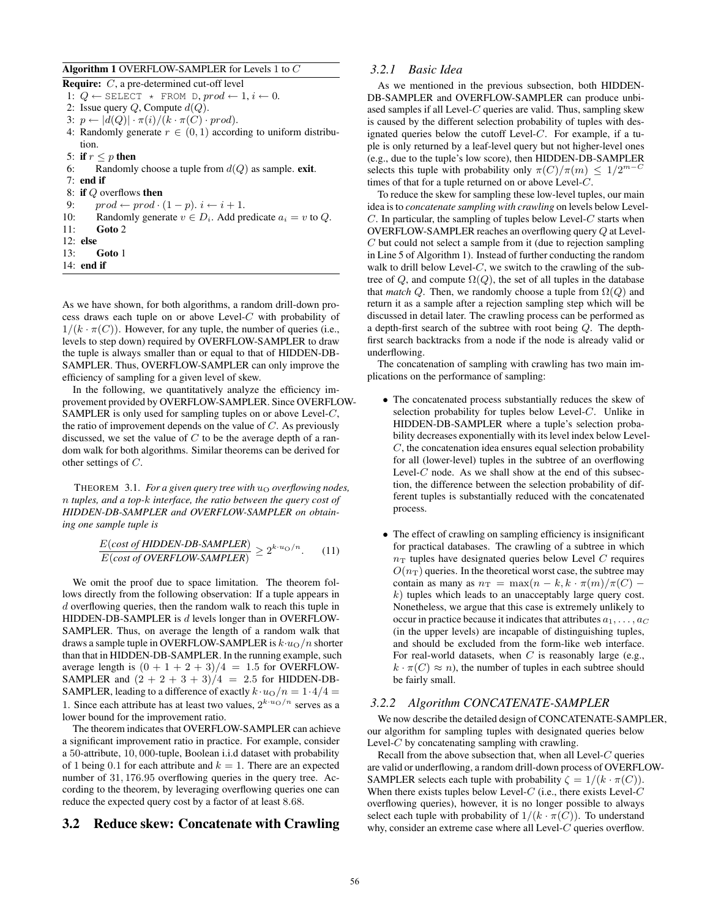#### Algorithm 1 OVERFLOW-SAMPLER for Levels 1 to C

Require: C, a pre-determined cut-off level

1:  $Q \leftarrow$  SELECT \* FROM D,  $prod \leftarrow 1, i \leftarrow 0$ .

2: Issue query  $Q$ , Compute  $d(Q)$ . 3:  $p \leftarrow |d(Q)| \cdot \pi(i)/(k \cdot \pi(C) \cdot prod)$ .

- 4: Randomly generate  $r \in (0,1)$  according to uniform distribution.
- 5: if  $r \leq p$  then

6: Randomly choose a tuple from  $d(Q)$  as sample. exit.

7: end if

8: if Q overflows then

9:  $\qquad \text{prod} \leftarrow \text{prod} \cdot (1-p) \cdot i \leftarrow i+1.$ 

10: Randomly generate  $v \in D_i$ . Add predicate  $a_i = v$  to  $Q$ .

- 11: Goto 2
- 12: else
- 13: Goto 1 14: end if
- 

As we have shown, for both algorithms, a random drill-down process draws each tuple on or above Level- $C$  with probability of  $1/(k \cdot \pi(C))$ . However, for any tuple, the number of queries (i.e., levels to step down) required by OVERFLOW-SAMPLER to draw the tuple is always smaller than or equal to that of HIDDEN-DB-SAMPLER. Thus, OVERFLOW-SAMPLER can only improve the efficiency of sampling for a given level of skew.

In the following, we quantitatively analyze the efficiency improvement provided by OVERFLOW-SAMPLER. Since OVERFLOW-SAMPLER is only used for sampling tuples on or above Level-C, the ratio of improvement depends on the value of  $C$ . As previously discussed, we set the value of  $C$  to be the average depth of a random walk for both algorithms. Similar theorems can be derived for other settings of C.

THEOREM 3.1. *For a given query tree with*  $u<sub>O</sub>$  *overflowing nodes*, n *tuples, and a top-*k *interface, the ratio between the query cost of HIDDEN-DB-SAMPLER and OVERFLOW-SAMPLER on obtaining one sample tuple is*

$$
\frac{E(cost of HIDDEN-DB-SAMPLER)}{E(cost of OVERFLOW-SAMPLER)} \ge 2^{k \cdot u_O/n}.
$$
 (11)

We omit the proof due to space limitation. The theorem follows directly from the following observation: If a tuple appears in d overflowing queries, then the random walk to reach this tuple in HIDDEN-DB-SAMPLER is  $d$  levels longer than in OVERFLOW-SAMPLER. Thus, on average the length of a random walk that draws a sample tuple in OVERFLOW-SAMPLER is  $k \cdot u_O/n$  shorter than that in HIDDEN-DB-SAMPLER. In the running example, such average length is  $(0 + 1 + 2 + 3)/4 = 1.5$  for OVERFLOW-SAMPLER and  $(2 + 2 + 3 + 3)/4 = 2.5$  for HIDDEN-DB-SAMPLER, leading to a difference of exactly  $k \cdot u_O/n = 1 \cdot 4/4 =$ 1. Since each attribute has at least two values,  $2^{k \cdot u} \circ {n}$  serves as a lower bound for the improvement ratio.

The theorem indicates that OVERFLOW-SAMPLER can achieve a significant improvement ratio in practice. For example, consider a 50-attribute, 10, 000-tuple, Boolean i.i.d dataset with probability of 1 being 0.1 for each attribute and  $k = 1$ . There are an expected number of 31, 176.95 overflowing queries in the query tree. According to the theorem, by leveraging overflowing queries one can reduce the expected query cost by a factor of at least 8.68.

#### 3.2 Reduce skew: Concatenate with Crawling

## *3.2.1 Basic Idea*

As we mentioned in the previous subsection, both HIDDEN-DB-SAMPLER and OVERFLOW-SAMPLER can produce unbiased samples if all Level- $C$  queries are valid. Thus, sampling skew is caused by the different selection probability of tuples with designated queries below the cutoff Level- $C$ . For example, if a tuple is only returned by a leaf-level query but not higher-level ones (e.g., due to the tuple's low score), then HIDDEN-DB-SAMPLER selects this tuple with probability only  $\pi(C)/\pi(m) \leq 1/2^{m-C}$ times of that for a tuple returned on or above Level-C.

To reduce the skew for sampling these low-level tuples, our main idea is to *concatenate sampling with crawling* on levels below Level- $C$ . In particular, the sampling of tuples below Level- $C$  starts when OVERFLOW-SAMPLER reaches an overflowing query Q at Level-C but could not select a sample from it (due to rejection sampling in Line 5 of Algorithm 1). Instead of further conducting the random walk to drill below Level- $C$ , we switch to the crawling of the subtree of  $Q$ , and compute  $\Omega(Q)$ , the set of all tuples in the database that *match* Q. Then, we randomly choose a tuple from  $\Omega(Q)$  and return it as a sample after a rejection sampling step which will be discussed in detail later. The crawling process can be performed as a depth-first search of the subtree with root being Q. The depthfirst search backtracks from a node if the node is already valid or underflowing.

The concatenation of sampling with crawling has two main implications on the performance of sampling:

- The concatenated process substantially reduces the skew of selection probability for tuples below Level-C. Unlike in HIDDEN-DB-SAMPLER where a tuple's selection probability decreases exponentially with its level index below Level- $C$ , the concatenation idea ensures equal selection probability for all (lower-level) tuples in the subtree of an overflowing Level- $C$  node. As we shall show at the end of this subsection, the difference between the selection probability of different tuples is substantially reduced with the concatenated process.
- The effect of crawling on sampling efficiency is insignificant for practical databases. The crawling of a subtree in which  $n<sub>T</sub>$  tuples have designated queries below Level C requires  $O(n_T)$  queries. In the theoretical worst case, the subtree may contain as many as  $n_T = \max(n - k, k \cdot \pi(m)/\pi(C))$  $k$ ) tuples which leads to an unacceptably large query cost. Nonetheless, we argue that this case is extremely unlikely to occur in practice because it indicates that attributes  $a_1, \ldots, a_C$ (in the upper levels) are incapable of distinguishing tuples, and should be excluded from the form-like web interface. For real-world datasets, when  $C$  is reasonably large (e.g.,  $k \cdot \pi(C) \approx n$ , the number of tuples in each subtree should be fairly small.

## *3.2.2 Algorithm CONCATENATE-SAMPLER*

We now describe the detailed design of CONCATENATE-SAMPLER, our algorithm for sampling tuples with designated queries below Level- $C$  by concatenating sampling with crawling.

Recall from the above subsection that, when all Level- $C$  queries are valid or underflowing, a random drill-down process of OVERFLOW-SAMPLER selects each tuple with probability  $\zeta = 1/(k \cdot \pi(C))$ . When there exists tuples below Level- $C$  (i.e., there exists Level- $C$ overflowing queries), however, it is no longer possible to always select each tuple with probability of  $1/(k \cdot \pi(C))$ . To understand why, consider an extreme case where all Level-C queries overflow.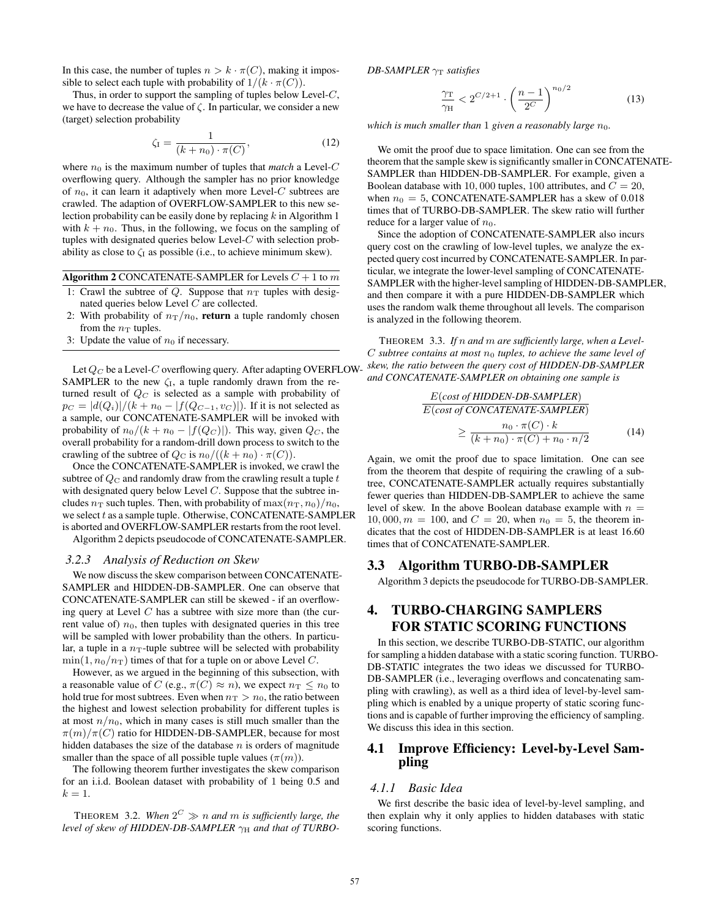In this case, the number of tuples  $n > k \cdot \pi(C)$ , making it impossible to select each tuple with probability of  $1/(k \cdot \pi(C))$ .

Thus, in order to support the sampling of tuples below Level- $C$ , we have to decrease the value of  $\zeta$ . In particular, we consider a new (target) selection probability

$$
\zeta_{\rm I} = \frac{1}{(k + n_0) \cdot \pi(C)},\tag{12}
$$

where  $n_0$  is the maximum number of tuples that *match* a Level-C overflowing query. Although the sampler has no prior knowledge of  $n_0$ , it can learn it adaptively when more Level-C subtrees are crawled. The adaption of OVERFLOW-SAMPLER to this new selection probability can be easily done by replacing  $k$  in Algorithm 1 with  $k + n_0$ . Thus, in the following, we focus on the sampling of tuples with designated queries below Level-C with selection probability as close to  $\zeta_I$  as possible (i.e., to achieve minimum skew).

Algorithm 2 CONCATENATE-SAMPLER for Levels  $C + 1$  to  $m$ 

- 1: Crawl the subtree of Q. Suppose that  $n<sub>T</sub>$  tuples with designated queries below Level C are collected.
- 2: With probability of  $n_T/n_0$ , return a tuple randomly chosen from the  $n_T$  tuples.
- 3: Update the value of  $n_0$  if necessary.

Let  $Q_C$  be a Level-C overflowing query. After adapting OVERFLOW-SAMPLER to the new  $\zeta_I$ , a tuple randomly drawn from the returned result of  $Q_C$  is selected as a sample with probability of  $p_C = |d(Q_i)|/(k + n_0 - |f(Q_{C-1}, v_C)|)$ . If it is not selected as a sample, our CONCATENATE-SAMPLER will be invoked with probability of  $n_0/(k + n_0 - |f(Q_C)|)$ . This way, given  $Q_C$ , the overall probability for a random-drill down process to switch to the crawling of the subtree of  $Q_C$  is  $n_0/((k + n_0) \cdot \pi(C)).$ 

Once the CONCATENATE-SAMPLER is invoked, we crawl the subtree of  $Q_C$  and randomly draw from the crawling result a tuple  $t$ with designated query below Level  $C$ . Suppose that the subtree includes  $n<sub>T</sub>$  such tuples. Then, with probability of  $\max(n<sub>T</sub>, n<sub>0</sub>)/n<sub>0</sub>$ , we select  $t$  as a sample tuple. Otherwise, CONCATENATE-SAMPLER is aborted and OVERFLOW-SAMPLER restarts from the root level. Algorithm 2 depicts pseudocode of CONCATENATE-SAMPLER.

*3.2.3 Analysis of Reduction on Skew*

We now discuss the skew comparison between CONCATENATE-SAMPLER and HIDDEN-DB-SAMPLER. One can observe that CONCATENATE-SAMPLER can still be skewed - if an overflowing query at Level  $C$  has a subtree with size more than (the current value of)  $n_0$ , then tuples with designated queries in this tree will be sampled with lower probability than the others. In particular, a tuple in a  $n_T$ -tuple subtree will be selected with probability  $\min(1, n_0/n_T)$  times of that for a tuple on or above Level C.

However, as we argued in the beginning of this subsection, with a reasonable value of C (e.g.,  $\pi(C) \approx n$ ), we expect  $n_T \leq n_0$  to hold true for most subtrees. Even when  $n_T > n_0$ , the ratio between the highest and lowest selection probability for different tuples is at most  $n/n_0$ , which in many cases is still much smaller than the  $\pi(m)/\pi(C)$  ratio for HIDDEN-DB-SAMPLER, because for most hidden databases the size of the database  $n$  is orders of magnitude smaller than the space of all possible tuple values  $(\pi(m))$ .

The following theorem further investigates the skew comparison for an i.i.d. Boolean dataset with probability of 1 being 0.5 and  $k=1$ .

THEOREM 3.2. When  $2^C \gg n$  and m is sufficiently large, the level of skew of HIDDEN-DB-SAMPLER  $γ_H$  and that of TURBO- *DB-SAMPLER*  $γ_T$  *satisfies* 

$$
\frac{\gamma_{\rm T}}{\gamma_{\rm H}} < 2^{C/2+1} \cdot \left(\frac{n-1}{2^C}\right)^{n_0/2} \tag{13}
$$

*which is much smaller than* 1 *given a reasonably large*  $n_0$ *.* 

We omit the proof due to space limitation. One can see from the theorem that the sample skew is significantly smaller in CONCATENATE-SAMPLER than HIDDEN-DB-SAMPLER. For example, given a Boolean database with 10,000 tuples, 100 attributes, and  $C = 20$ , when  $n_0 = 5$ , CONCATENATE-SAMPLER has a skew of 0.018 times that of TURBO-DB-SAMPLER. The skew ratio will further reduce for a larger value of  $n_0$ .

Since the adoption of CONCATENATE-SAMPLER also incurs query cost on the crawling of low-level tuples, we analyze the expected query cost incurred by CONCATENATE-SAMPLER. In particular, we integrate the lower-level sampling of CONCATENATE-SAMPLER with the higher-level sampling of HIDDEN-DB-SAMPLER, and then compare it with a pure HIDDEN-DB-SAMPLER which uses the random walk theme throughout all levels. The comparison is analyzed in the following theorem.

THEOREM 3.3. *If* n *and* m *are sufficiently large, when a Level-* $C$  *subtree contains at most*  $n_0$  *tuples, to achieve the same level of skew, the ratio between the query cost of HIDDEN-DB-SAMPLER and CONCATENATE-SAMPLER on obtaining one sample is*

$$
\frac{E(\text{cost of HIDDEN-DB-SAMPLER})}{E(\text{cost of CONCATENATE-SAMPLER})}
$$
\n
$$
\geq \frac{n_0 \cdot \pi(C) \cdot k}{(k+n_0) \cdot \pi(C) + n_0 \cdot n/2}
$$
\n(14)

Again, we omit the proof due to space limitation. One can see from the theorem that despite of requiring the crawling of a subtree, CONCATENATE-SAMPLER actually requires substantially fewer queries than HIDDEN-DB-SAMPLER to achieve the same level of skew. In the above Boolean database example with  $n =$ 10, 000,  $m = 100$ , and  $C = 20$ , when  $n_0 = 5$ , the theorem indicates that the cost of HIDDEN-DB-SAMPLER is at least 16.60 times that of CONCATENATE-SAMPLER.

#### 3.3 Algorithm TURBO-DB-SAMPLER

Algorithm 3 depicts the pseudocode for TURBO-DB-SAMPLER.

# 4. TURBO-CHARGING SAMPLERS FOR STATIC SCORING FUNCTIONS

In this section, we describe TURBO-DB-STATIC, our algorithm for sampling a hidden database with a static scoring function. TURBO-DB-STATIC integrates the two ideas we discussed for TURBO-DB-SAMPLER (i.e., leveraging overflows and concatenating sampling with crawling), as well as a third idea of level-by-level sampling which is enabled by a unique property of static scoring functions and is capable of further improving the efficiency of sampling. We discuss this idea in this section.

# 4.1 Improve Efficiency: Level-by-Level Sampling

#### *4.1.1 Basic Idea*

We first describe the basic idea of level-by-level sampling, and then explain why it only applies to hidden databases with static scoring functions.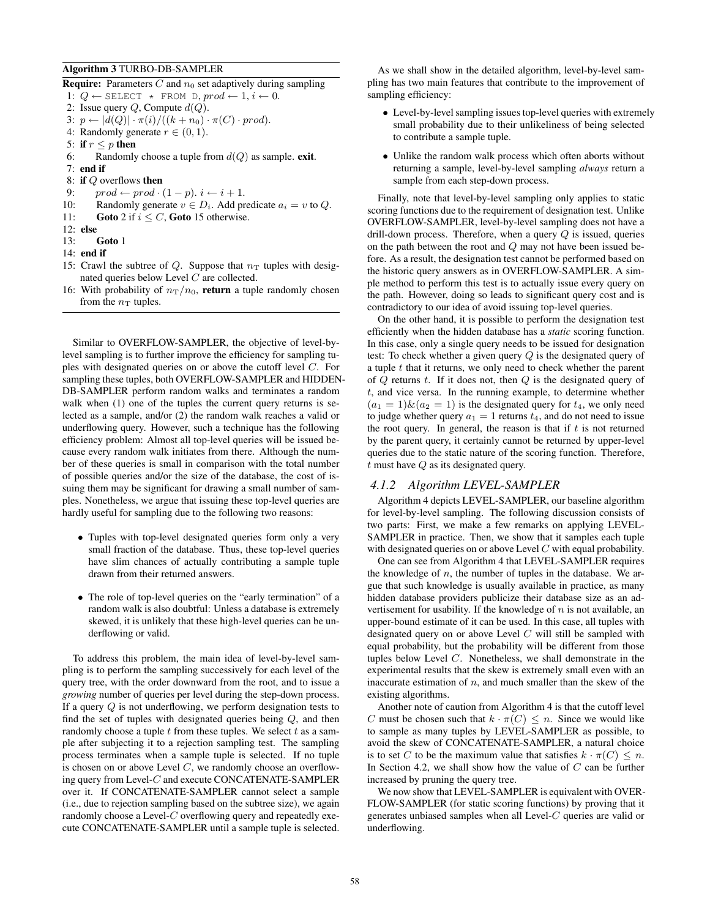#### Algorithm 3 TURBO-DB-SAMPLER

**Require:** Parameters  $C$  and  $n_0$  set adaptively during sampling

1:  $Q \leftarrow$  SELECT \* FROM D,  $prod \leftarrow 1, i \leftarrow 0$ .

2: Issue query  $Q$ , Compute  $d(Q)$ .

3: 
$$
p \leftarrow |d(Q)| \cdot \pi(i) / ((k + n_0) \cdot \pi(C) \cdot prod).
$$

4: Randomly generate 
$$
r \in (0, 1)
$$
.

- 5: if  $r \leq p$  then
- 6: Randomly choose a tuple from  $d(Q)$  as sample. exit. 7: end if
- 8: if Q overflows then
- 9:  $\qquad \text{prod} \leftarrow \text{prod} \cdot (1-p) \cdot i \leftarrow i+1.$
- 10: Randomly generate  $v \in D_i$ . Add predicate  $a_i = v$  to  $Q$ .
- 11: Goto 2 if  $i \leq C$ , Goto 15 otherwise.
- 12: else
- 13: Goto 1
- 14: end if
- 15: Crawl the subtree of Q. Suppose that  $n<sub>T</sub>$  tuples with designated queries below Level C are collected.
- 16: With probability of  $n_T/n_0$ , return a tuple randomly chosen from the  $n_T$  tuples.

Similar to OVERFLOW-SAMPLER, the objective of level-bylevel sampling is to further improve the efficiency for sampling tuples with designated queries on or above the cutoff level C. For sampling these tuples, both OVERFLOW-SAMPLER and HIDDEN-DB-SAMPLER perform random walks and terminates a random walk when (1) one of the tuples the current query returns is selected as a sample, and/or (2) the random walk reaches a valid or underflowing query. However, such a technique has the following efficiency problem: Almost all top-level queries will be issued because every random walk initiates from there. Although the number of these queries is small in comparison with the total number of possible queries and/or the size of the database, the cost of issuing them may be significant for drawing a small number of samples. Nonetheless, we argue that issuing these top-level queries are hardly useful for sampling due to the following two reasons:

- Tuples with top-level designated queries form only a very small fraction of the database. Thus, these top-level queries have slim chances of actually contributing a sample tuple drawn from their returned answers.
- The role of top-level queries on the "early termination" of a random walk is also doubtful: Unless a database is extremely skewed, it is unlikely that these high-level queries can be underflowing or valid.

To address this problem, the main idea of level-by-level sampling is to perform the sampling successively for each level of the query tree, with the order downward from the root, and to issue a *growing* number of queries per level during the step-down process. If a query Q is not underflowing, we perform designation tests to find the set of tuples with designated queries being Q, and then randomly choose a tuple  $t$  from these tuples. We select  $t$  as a sample after subjecting it to a rejection sampling test. The sampling process terminates when a sample tuple is selected. If no tuple is chosen on or above Level  $C$ , we randomly choose an overflowing query from Level-C and execute CONCATENATE-SAMPLER over it. If CONCATENATE-SAMPLER cannot select a sample (i.e., due to rejection sampling based on the subtree size), we again randomly choose a Level- $C$  overflowing query and repeatedly execute CONCATENATE-SAMPLER until a sample tuple is selected.

As we shall show in the detailed algorithm, level-by-level sampling has two main features that contribute to the improvement of sampling efficiency:

- Level-by-level sampling issues top-level queries with extremely small probability due to their unlikeliness of being selected to contribute a sample tuple.
- Unlike the random walk process which often aborts without returning a sample, level-by-level sampling *always* return a sample from each step-down process.

Finally, note that level-by-level sampling only applies to static scoring functions due to the requirement of designation test. Unlike OVERFLOW-SAMPLER, level-by-level sampling does not have a drill-down process. Therefore, when a query  $Q$  is issued, queries on the path between the root and Q may not have been issued before. As a result, the designation test cannot be performed based on the historic query answers as in OVERFLOW-SAMPLER. A simple method to perform this test is to actually issue every query on the path. However, doing so leads to significant query cost and is contradictory to our idea of avoid issuing top-level queries.

On the other hand, it is possible to perform the designation test efficiently when the hidden database has a *static* scoring function. In this case, only a single query needs to be issued for designation test: To check whether a given query Q is the designated query of a tuple  $t$  that it returns, we only need to check whether the parent of  $Q$  returns  $t$ . If it does not, then  $Q$  is the designated query of  $t$ , and vice versa. In the running example, to determine whether  $(a_1 = 1) \& (a_2 = 1)$  is the designated query for  $t_4$ , we only need to judge whether query  $a_1 = 1$  returns  $t_4$ , and do not need to issue the root query. In general, the reason is that if  $t$  is not returned by the parent query, it certainly cannot be returned by upper-level queries due to the static nature of the scoring function. Therefore,  $t$  must have  $Q$  as its designated query.

## *4.1.2 Algorithm LEVEL-SAMPLER*

Algorithm 4 depicts LEVEL-SAMPLER, our baseline algorithm for level-by-level sampling. The following discussion consists of two parts: First, we make a few remarks on applying LEVEL-SAMPLER in practice. Then, we show that it samples each tuple with designated queries on or above Level C with equal probability.

One can see from Algorithm 4 that LEVEL-SAMPLER requires the knowledge of  $n$ , the number of tuples in the database. We argue that such knowledge is usually available in practice, as many hidden database providers publicize their database size as an advertisement for usability. If the knowledge of  $n$  is not available, an upper-bound estimate of it can be used. In this case, all tuples with designated query on or above Level C will still be sampled with equal probability, but the probability will be different from those tuples below Level C. Nonetheless, we shall demonstrate in the experimental results that the skew is extremely small even with an inaccurate estimation of  $n$ , and much smaller than the skew of the existing algorithms.

Another note of caution from Algorithm 4 is that the cutoff level C must be chosen such that  $k \cdot \pi(C) \leq n$ . Since we would like to sample as many tuples by LEVEL-SAMPLER as possible, to avoid the skew of CONCATENATE-SAMPLER, a natural choice is to set C to be the maximum value that satisfies  $k \cdot \pi(C) \leq n$ . In Section 4.2, we shall show how the value of  $C$  can be further increased by pruning the query tree.

We now show that LEVEL-SAMPLER is equivalent with OVER-FLOW-SAMPLER (for static scoring functions) by proving that it generates unbiased samples when all Level- $C$  queries are valid or underflowing.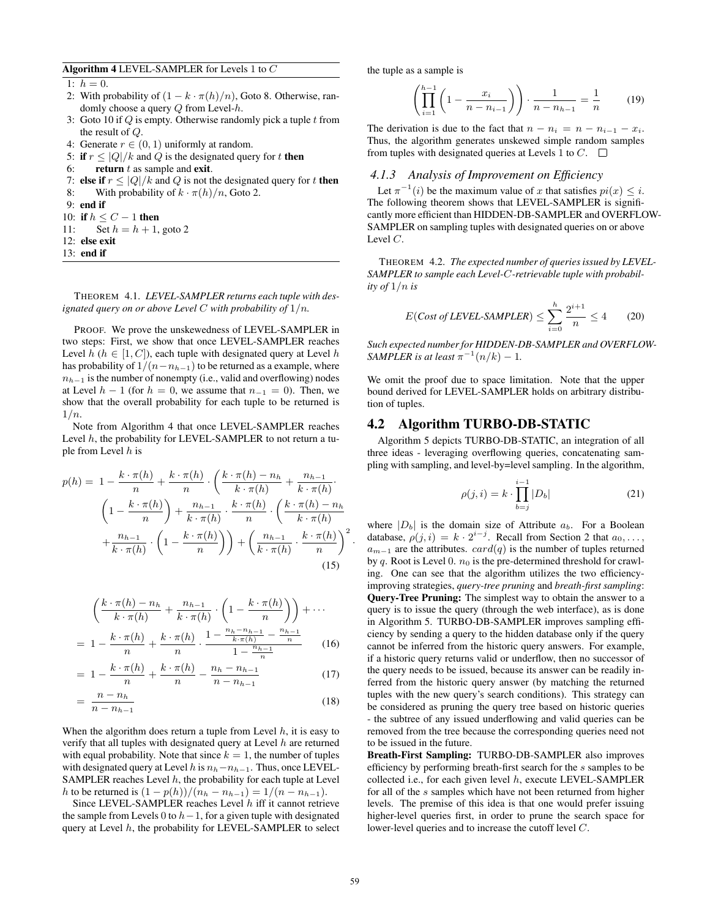Algorithm 4 LEVEL-SAMPLER for Levels 1 to C

1:  $h = 0$ .

- 2: With probability of  $(1 k \cdot \pi(h)/n)$ , Goto 8. Otherwise, randomly choose a query Q from Level-h.
- 3: Goto 10 if  $Q$  is empty. Otherwise randomly pick a tuple  $t$  from the result of Q.
- 4: Generate  $r \in (0, 1)$  uniformly at random.
- 5: if  $r \leq |Q|/k$  and Q is the designated query for t then
- 6: return  $t$  as sample and exit.
- 7: else if  $r \le |Q|/k$  and Q is not the designated query for t then 8: With probability of  $k \cdot \pi(h)/n$ , Goto 2.
- 9: end if
- 10: if  $h \leq C 1$  then
- 11: Set  $h = h + 1$ , goto 2
- 12: else exit
- 13: end if

THEOREM 4.1. *LEVEL-SAMPLER returns each tuple with designated query on or above Level* C *with probability of* 1/n*.*

PROOF. We prove the unskewedness of LEVEL-SAMPLER in two steps: First, we show that once LEVEL-SAMPLER reaches Level  $h$  ( $h \in [1, C]$ ), each tuple with designated query at Level  $h$ has probability of  $1/(n-n_{h-1})$  to be returned as a example, where  $n_{h-1}$  is the number of nonempty (i.e., valid and overflowing) nodes at Level  $h - 1$  (for  $h = 0$ , we assume that  $n_{-1} = 0$ ). Then, we show that the overall probability for each tuple to be returned is  $1/n$ .

Note from Algorithm 4 that once LEVEL-SAMPLER reaches Level  $h$ , the probability for LEVEL-SAMPLER to not return a tuple from Level  $h$  is

$$
p(h) = 1 - \frac{k \cdot \pi(h)}{n} + \frac{k \cdot \pi(h)}{n} \cdot \left(\frac{k \cdot \pi(h) - n_h}{k \cdot \pi(h)} + \frac{n_{h-1}}{k \cdot \pi(h)}\right)
$$

$$
\left(1 - \frac{k \cdot \pi(h)}{n}\right) + \frac{n_{h-1}}{k \cdot \pi(h)} \cdot \frac{k \cdot \pi(h)}{n} \cdot \left(\frac{k \cdot \pi(h) - n_h}{k \cdot \pi(h)}\right)
$$

$$
+ \frac{n_{h-1}}{k \cdot \pi(h)} \cdot \left(1 - \frac{k \cdot \pi(h)}{n}\right) + \left(\frac{n_{h-1}}{k \cdot \pi(h)} \cdot \frac{k \cdot \pi(h)}{n}\right)^2
$$
(15)

$$
\left(\frac{k \cdot \pi(h) - n_h}{k \cdot \pi(h)} + \frac{n_{h-1}}{k \cdot \pi(h)} \cdot \left(1 - \frac{k \cdot \pi(h)}{n}\right)\right) + \cdots
$$
\n
$$
= 1 - \frac{k \cdot \pi(h)}{n} + \frac{k \cdot \pi(h)}{n} \cdot \frac{1 - \frac{n_h - n_{h-1}}{k \cdot \pi(h)} - \frac{n_{h-1}}{n}}{1 - \frac{n_{h-1}}{n}} \qquad (16)
$$

$$
= 1 - \frac{k \cdot \pi(h)}{n} + \frac{k \cdot \pi(h)}{n} - \frac{n_h - n_{h-1}}{n - n_{h-1}}
$$
(17)

$$
=\frac{n-n_h}{n-n_{h-1}}\tag{18}
$$

When the algorithm does return a tuple from Level  $h$ , it is easy to verify that all tuples with designated query at Level  $h$  are returned with equal probability. Note that since  $k = 1$ , the number of tuples with designated query at Level h is  $n_h-n_{h-1}$ . Thus, once LEVEL-SAMPLER reaches Level  $h$ , the probability for each tuple at Level h to be returned is  $(1 - p(h))/(n_h - n_{h-1}) = 1/(n - n_{h-1}).$ 

Since LEVEL-SAMPLER reaches Level  $h$  iff it cannot retrieve the sample from Levels 0 to  $h-1$ , for a given tuple with designated query at Level  $h$ , the probability for LEVEL-SAMPLER to select the tuple as a sample is

$$
\left(\prod_{i=1}^{h-1} \left(1 - \frac{x_i}{n - n_{i-1}}\right)\right) \cdot \frac{1}{n - n_{h-1}} = \frac{1}{n} \tag{19}
$$

The derivation is due to the fact that  $n - n_i = n - n_{i-1} - x_i$ . Thus, the algorithm generates unskewed simple random samples from tuples with designated queries at Levels 1 to  $C$ .  $\Box$ 

#### *4.1.3 Analysis of Improvement on Efficiency*

Let  $\pi^{-1}(i)$  be the maximum value of x that satisfies  $pi(x) \leq i$ . The following theorem shows that LEVEL-SAMPLER is significantly more efficient than HIDDEN-DB-SAMPLER and OVERFLOW-SAMPLER on sampling tuples with designated queries on or above Level C.

THEOREM 4.2. *The expected number of queries issued by LEVEL-SAMPLER to sample each Level-*C*-retrievable tuple with probability of*  $1/n$  *is* 

$$
E(Cost of LEVEL-SAMPLER) \leq \sum_{i=0}^{h} \frac{2^{i+1}}{n} \leq 4 \qquad (20)
$$

*Such expected number for HIDDEN-DB-SAMPLER and OVERFLOW-SAMPLER is at least*  $\pi^{-1}(n/k) - 1$ *.* 

We omit the proof due to space limitation. Note that the upper bound derived for LEVEL-SAMPLER holds on arbitrary distribution of tuples.

#### 4.2 Algorithm TURBO-DB-STATIC

Algorithm 5 depicts TURBO-DB-STATIC, an integration of all three ideas - leveraging overflowing queries, concatenating sampling with sampling, and level-by=level sampling. In the algorithm,

$$
\rho(j, i) = k \cdot \prod_{b=j}^{i-1} |D_b|
$$
 (21)

where  $|D_b|$  is the domain size of Attribute  $a_b$ . For a Boolean database,  $\rho(j, i) = k \cdot 2^{i-j}$ . Recall from Section 2 that  $a_0, \ldots,$  $a_{m-1}$  are the attributes.  $card(q)$  is the number of tuples returned by q. Root is Level 0.  $n_0$  is the pre-determined threshold for crawling. One can see that the algorithm utilizes the two efficiencyimproving strategies, *query-tree pruning* and *breath-first sampling*: Query-Tree Pruning: The simplest way to obtain the answer to a query is to issue the query (through the web interface), as is done in Algorithm 5. TURBO-DB-SAMPLER improves sampling efficiency by sending a query to the hidden database only if the query cannot be inferred from the historic query answers. For example, if a historic query returns valid or underflow, then no successor of the query needs to be issued, because its answer can be readily inferred from the historic query answer (by matching the returned tuples with the new query's search conditions). This strategy can be considered as pruning the query tree based on historic queries - the subtree of any issued underflowing and valid queries can be removed from the tree because the corresponding queries need not to be issued in the future.

Breath-First Sampling: TURBO-DB-SAMPLER also improves efficiency by performing breath-first search for the s samples to be collected i.e., for each given level  $h$ , execute LEVEL-SAMPLER for all of the s samples which have not been returned from higher levels. The premise of this idea is that one would prefer issuing higher-level queries first, in order to prune the search space for lower-level queries and to increase the cutoff level C.

·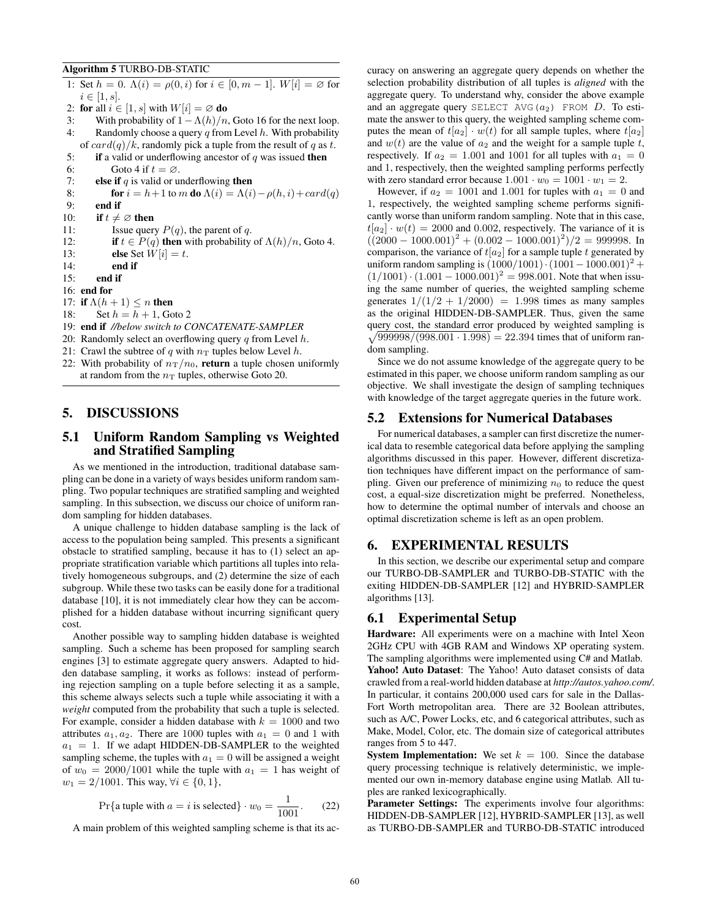#### Algorithm 5 TURBO-DB-STATIC

1: Set  $h = 0$ .  $\Lambda(i) = \rho(0, i)$  for  $i \in [0, m - 1]$ .  $W[i] = \emptyset$  for  $i \in [1, s]$ . 2: for all  $i \in [1, s]$  with  $W[i] = \emptyset$  do 3: With probability of  $1 - \Lambda(h)/n$ , Goto 16 for the next loop. 4: Randomly choose a query  $q$  from Level  $h$ . With probability of  $card(q)/k$ , randomly pick a tuple from the result of q as t. 5: if a valid or underflowing ancestor of  $q$  was issued then 6: Goto 4 if  $t = \emptyset$ . 7: **else if**  $q$  is valid or underflowing **then** 8: **for**  $i = h+1$  to m **do**  $\Lambda(i) = \Lambda(i) - \rho(h, i) + card(q)$ 9: end if 10: if  $t \neq \emptyset$  then 11: Issue query  $P(q)$ , the parent of q. 12: **if**  $t \in P(q)$  then with probability of  $\Lambda(h)/n$ , Goto 4. 13: **else** Set  $W[i] = t$ . 14: end if 15: end if 16: end for 17: if  $\Lambda(h+1) \leq n$  then 18: Set  $h = h + 1$ , Goto 2 19: end if *//below switch to CONCATENATE-SAMPLER* 20: Randomly select an overflowing query  $q$  from Level  $h$ . 21: Crawl the subtree of q with  $n<sub>T</sub>$  tuples below Level h.

22: With probability of  $n_T/n_0$ , return a tuple chosen uniformly at random from the  $n<sub>T</sub>$  tuples, otherwise Goto 20.

# 5. DISCUSSIONS

# 5.1 Uniform Random Sampling vs Weighted and Stratified Sampling

As we mentioned in the introduction, traditional database sampling can be done in a variety of ways besides uniform random sampling. Two popular techniques are stratified sampling and weighted sampling. In this subsection, we discuss our choice of uniform random sampling for hidden databases.

A unique challenge to hidden database sampling is the lack of access to the population being sampled. This presents a significant obstacle to stratified sampling, because it has to (1) select an appropriate stratification variable which partitions all tuples into relatively homogeneous subgroups, and (2) determine the size of each subgroup. While these two tasks can be easily done for a traditional database [10], it is not immediately clear how they can be accomplished for a hidden database without incurring significant query cost.

Another possible way to sampling hidden database is weighted sampling. Such a scheme has been proposed for sampling search engines [3] to estimate aggregate query answers. Adapted to hidden database sampling, it works as follows: instead of performing rejection sampling on a tuple before selecting it as a sample, this scheme always selects such a tuple while associating it with a *weight* computed from the probability that such a tuple is selected. For example, consider a hidden database with  $k = 1000$  and two attributes  $a_1, a_2$ . There are 1000 tuples with  $a_1 = 0$  and 1 with  $a_1 = 1$ . If we adapt HIDDEN-DB-SAMPLER to the weighted sampling scheme, the tuples with  $a_1 = 0$  will be assigned a weight of  $w_0 = 2000/1001$  while the tuple with  $a_1 = 1$  has weight of  $w_1 = 2/1001$ . This way,  $\forall i \in \{0, 1\}$ ,

$$
Pr{a tuple with a = i is selected} \cdot w_0 = \frac{1}{1001}.
$$
 (22)

A main problem of this weighted sampling scheme is that its ac-

curacy on answering an aggregate query depends on whether the selection probability distribution of all tuples is *aligned* with the aggregate query. To understand why, consider the above example and an aggregate query SELECT AVG( $a_2$ ) FROM D. To estimate the answer to this query, the weighted sampling scheme computes the mean of  $t[a_2] \cdot w(t)$  for all sample tuples, where  $t[a_2]$ and  $w(t)$  are the value of  $a_2$  and the weight for a sample tuple t, respectively. If  $a_2 = 1.001$  and 1001 for all tuples with  $a_1 = 0$ and 1, respectively, then the weighted sampling performs perfectly with zero standard error because  $1.001 \cdot w_0 = 1001 \cdot w_1 = 2$ .

However, if  $a_2 = 1001$  and 1.001 for tuples with  $a_1 = 0$  and 1, respectively, the weighted sampling scheme performs significantly worse than uniform random sampling. Note that in this case,  $t[a_2] \cdot w(t) = 2000$  and 0.002, respectively. The variance of it is  $((2000 - 1000.001)^2 + (0.002 - 1000.001)^2)/2 = 999998$ . In comparison, the variance of  $t[a_2]$  for a sample tuple t generated by uniform random sampling is  $(1000/1001) \cdot (1001 - 1000.001)^2 +$  $(1/1001) \cdot (1.001 - 1000.001)^2 = 998.001$ . Note that when issuing the same number of queries, the weighted sampling scheme generates  $1/(1/2 + 1/2000) = 1.998$  times as many samples as the original HIDDEN-DB-SAMPLER. Thus, given the same query cost, the standard error produced by weighted sampling is  $\sqrt{999998/(998.001 \cdot 1.998)} = 22.394$  times that of uniform random sampling.

Since we do not assume knowledge of the aggregate query to be estimated in this paper, we choose uniform random sampling as our objective. We shall investigate the design of sampling techniques with knowledge of the target aggregate queries in the future work.

#### 5.2 Extensions for Numerical Databases

For numerical databases, a sampler can first discretize the numerical data to resemble categorical data before applying the sampling algorithms discussed in this paper. However, different discretization techniques have different impact on the performance of sampling. Given our preference of minimizing  $n_0$  to reduce the quest cost, a equal-size discretization might be preferred. Nonetheless, how to determine the optimal number of intervals and choose an optimal discretization scheme is left as an open problem.

# 6. EXPERIMENTAL RESULTS

In this section, we describe our experimental setup and compare our TURBO-DB-SAMPLER and TURBO-DB-STATIC with the exiting HIDDEN-DB-SAMPLER [12] and HYBRID-SAMPLER algorithms [13].

# 6.1 Experimental Setup

Hardware: All experiments were on a machine with Intel Xeon 2GHz CPU with 4GB RAM and Windows XP operating system. The sampling algorithms were implemented using C# and Matlab. Yahoo! Auto Dataset: The Yahoo! Auto dataset consists of data crawled from a real-world hidden database at *http://autos.yahoo.com/*. In particular, it contains 200,000 used cars for sale in the Dallas-Fort Worth metropolitan area. There are 32 Boolean attributes, such as A/C, Power Locks, etc, and 6 categorical attributes, such as Make, Model, Color, etc. The domain size of categorical attributes ranges from 5 to 447.

**System Implementation:** We set  $k = 100$ . Since the database query processing technique is relatively deterministic, we implemented our own in-memory database engine using Matlab. All tuples are ranked lexicographically.

Parameter Settings: The experiments involve four algorithms: HIDDEN-DB-SAMPLER [12], HYBRID-SAMPLER [13], as well as TURBO-DB-SAMPLER and TURBO-DB-STATIC introduced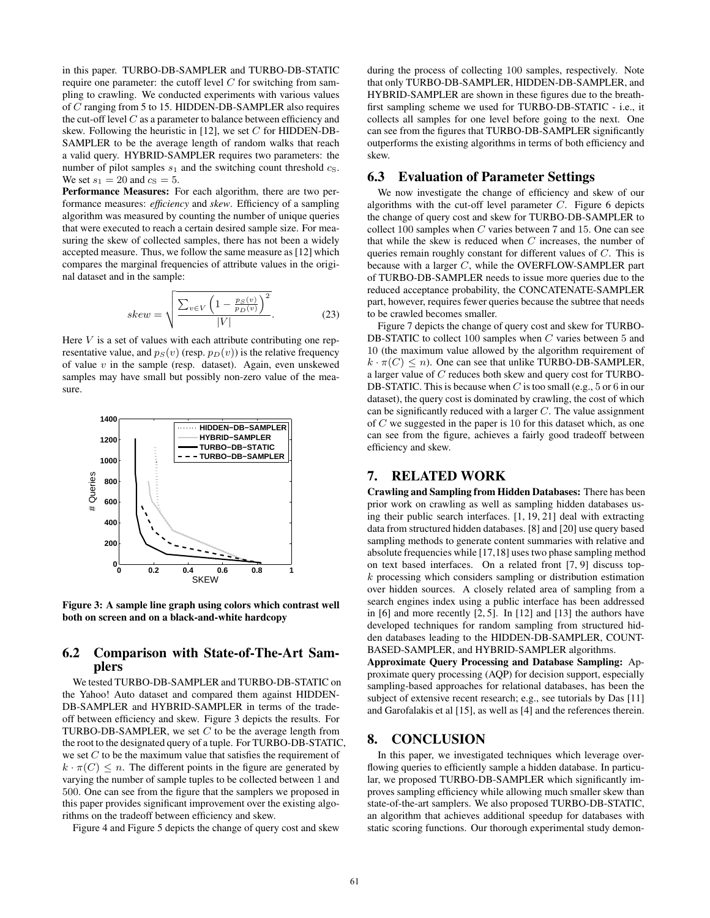in this paper. TURBO-DB-SAMPLER and TURBO-DB-STATIC require one parameter: the cutoff level  $C$  for switching from sampling to crawling. We conducted experiments with various values of C ranging from 5 to 15. HIDDEN-DB-SAMPLER also requires the cut-off level  $C$  as a parameter to balance between efficiency and skew. Following the heuristic in [12], we set  $C$  for HIDDEN-DB-SAMPLER to be the average length of random walks that reach a valid query. HYBRID-SAMPLER requires two parameters: the number of pilot samples  $s_1$  and the switching count threshold  $c_S$ . We set  $s_1 = 20$  and  $c_S = 5$ .

Performance Measures: For each algorithm, there are two performance measures: *efficiency* and *skew*. Efficiency of a sampling algorithm was measured by counting the number of unique queries that were executed to reach a certain desired sample size. For measuring the skew of collected samples, there has not been a widely accepted measure. Thus, we follow the same measure as [12] which compares the marginal frequencies of attribute values in the original dataset and in the sample:

$$
skew = \sqrt{\frac{\sum_{v \in V} \left(1 - \frac{p_S(v)}{p_D(v)}\right)^2}{|V|}}.
$$
 (23)

Here  $V$  is a set of values with each attribute contributing one representative value, and  $p_S(v)$  (resp.  $p_D(v)$ ) is the relative frequency of value  $v$  in the sample (resp. dataset). Again, even unskewed samples may have small but possibly non-zero value of the measure.



Figure 3: A sample line graph using colors which contrast well both on screen and on a black-and-white hardcopy

# 6.2 Comparison with State-of-The-Art Samplers

We tested TURBO-DB-SAMPLER and TURBO-DB-STATIC on the Yahoo! Auto dataset and compared them against HIDDEN-DB-SAMPLER and HYBRID-SAMPLER in terms of the tradeoff between efficiency and skew. Figure 3 depicts the results. For TURBO-DB-SAMPLER, we set  $C$  to be the average length from the root to the designated query of a tuple. For TURBO-DB-STATIC, we set  $C$  to be the maximum value that satisfies the requirement of  $k \cdot \pi(C) \leq n$ . The different points in the figure are generated by varying the number of sample tuples to be collected between 1 and 500. One can see from the figure that the samplers we proposed in this paper provides significant improvement over the existing algorithms on the tradeoff between efficiency and skew.

Figure 4 and Figure 5 depicts the change of query cost and skew

during the process of collecting 100 samples, respectively. Note that only TURBO-DB-SAMPLER, HIDDEN-DB-SAMPLER, and HYBRID-SAMPLER are shown in these figures due to the breathfirst sampling scheme we used for TURBO-DB-STATIC - i.e., it collects all samples for one level before going to the next. One can see from the figures that TURBO-DB-SAMPLER significantly outperforms the existing algorithms in terms of both efficiency and skew.

#### 6.3 Evaluation of Parameter Settings

We now investigate the change of efficiency and skew of our algorithms with the cut-off level parameter  $C$ . Figure 6 depicts the change of query cost and skew for TURBO-DB-SAMPLER to collect 100 samples when C varies between 7 and 15. One can see that while the skew is reduced when  $C$  increases, the number of queries remain roughly constant for different values of C. This is because with a larger C, while the OVERFLOW-SAMPLER part of TURBO-DB-SAMPLER needs to issue more queries due to the reduced acceptance probability, the CONCATENATE-SAMPLER part, however, requires fewer queries because the subtree that needs to be crawled becomes smaller.

Figure 7 depicts the change of query cost and skew for TURBO-DB-STATIC to collect 100 samples when C varies between 5 and 10 (the maximum value allowed by the algorithm requirement of  $k \cdot \pi(C) \leq n$ ). One can see that unlike TURBO-DB-SAMPLER, a larger value of C reduces both skew and query cost for TURBO-DB-STATIC. This is because when  $C$  is too small (e.g., 5 or 6 in our dataset), the query cost is dominated by crawling, the cost of which can be significantly reduced with a larger  $C$ . The value assignment of C we suggested in the paper is 10 for this dataset which, as one can see from the figure, achieves a fairly good tradeoff between efficiency and skew.

# 7. RELATED WORK

Crawling and Sampling from Hidden Databases: There has been prior work on crawling as well as sampling hidden databases using their public search interfaces. [1, 19, 21] deal with extracting data from structured hidden databases. [8] and [20] use query based sampling methods to generate content summaries with relative and absolute frequencies while [17,18] uses two phase sampling method on text based interfaces. On a related front [7, 9] discuss topk processing which considers sampling or distribution estimation over hidden sources. A closely related area of sampling from a search engines index using a public interface has been addressed in [6] and more recently [2, 5]. In [12] and [13] the authors have developed techniques for random sampling from structured hidden databases leading to the HIDDEN-DB-SAMPLER, COUNT-BASED-SAMPLER, and HYBRID-SAMPLER algorithms.

Approximate Query Processing and Database Sampling: Approximate query processing (AQP) for decision support, especially sampling-based approaches for relational databases, has been the subject of extensive recent research; e.g., see tutorials by Das [11] and Garofalakis et al [15], as well as [4] and the references therein.

# 8. CONCLUSION

In this paper, we investigated techniques which leverage overflowing queries to efficiently sample a hidden database. In particular, we proposed TURBO-DB-SAMPLER which significantly improves sampling efficiency while allowing much smaller skew than state-of-the-art samplers. We also proposed TURBO-DB-STATIC, an algorithm that achieves additional speedup for databases with static scoring functions. Our thorough experimental study demon-